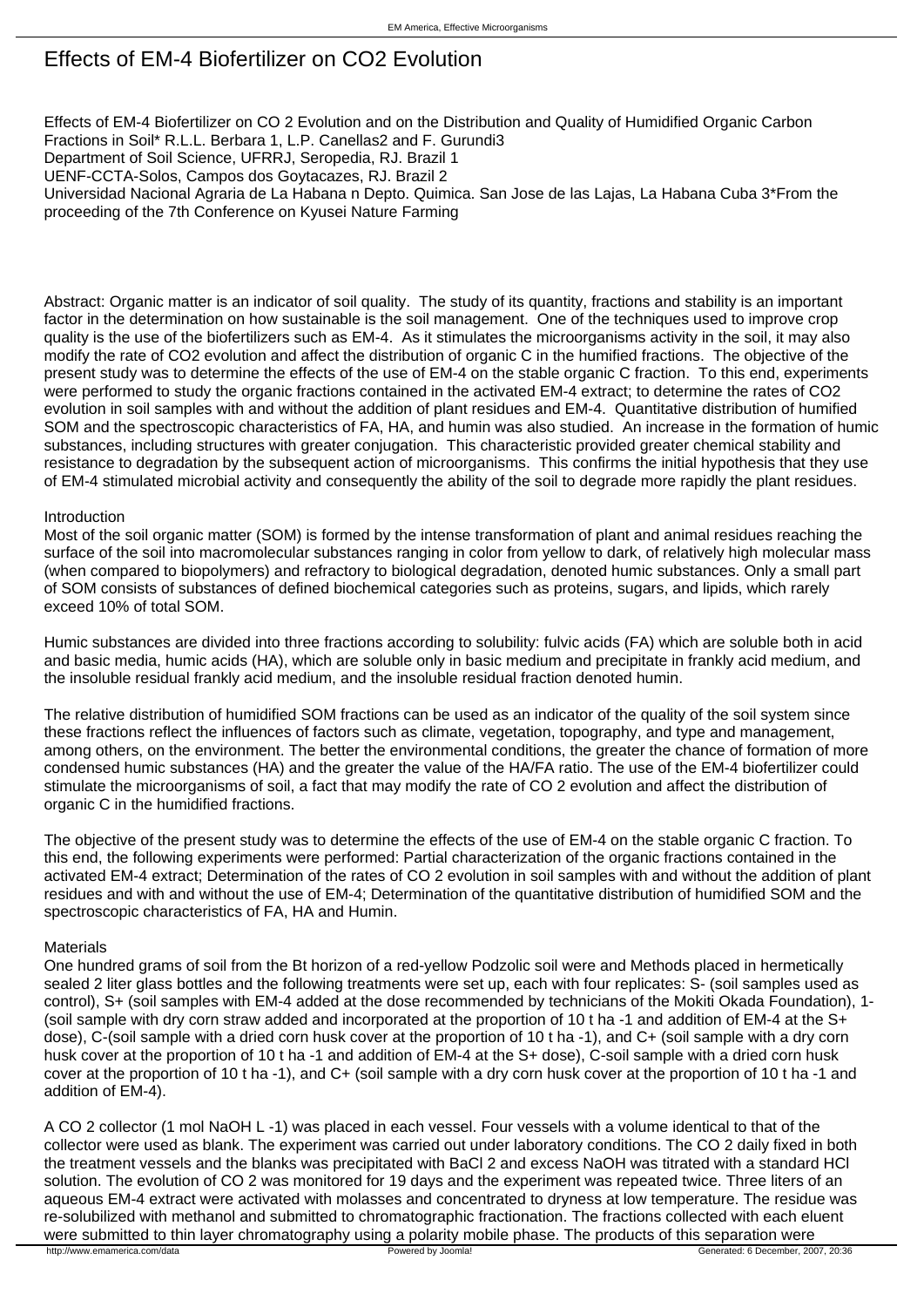# Effects of EM-4 Biofertilizer on CO2 Evolution

Effects of EM-4 Biofertilizer on CO 2 Evolution and on the Distribution and Quality of Humidified Organic Carbon Fractions in Soil\* R.L.L. Berbara 1, L.P. Canellas2 and F. Gurundi3

Department of Soil Science, UFRRJ, Seropedia, RJ. Brazil 1

UENF-CCTA-Solos, Campos dos Goytacazes, RJ. Brazil 2

Universidad Nacional Agraria de La Habana n Depto. Quimica. San Jose de las Lajas, La Habana Cuba 3\*From the proceeding of the 7th Conference on Kyusei Nature Farming

Abstract: Organic matter is an indicator of soil quality. The study of its quantity, fractions and stability is an important factor in the determination on how sustainable is the soil management. One of the techniques used to improve crop quality is the use of the biofertilizers such as EM-4. As it stimulates the microorganisms activity in the soil, it may also modify the rate of CO2 evolution and affect the distribution of organic C in the humified fractions. The objective of the present study was to determine the effects of the use of EM-4 on the stable organic C fraction. To this end, experiments were performed to study the organic fractions contained in the activated EM-4 extract; to determine the rates of CO2 evolution in soil samples with and without the addition of plant residues and EM-4. Quantitative distribution of humified SOM and the spectroscopic characteristics of FA, HA, and humin was also studied. An increase in the formation of humic substances, including structures with greater conjugation. This characteristic provided greater chemical stability and resistance to degradation by the subsequent action of microorganisms. This confirms the initial hypothesis that they use of EM-4 stimulated microbial activity and consequently the ability of the soil to degrade more rapidly the plant residues.

## Introduction

Most of the soil organic matter (SOM) is formed by the intense transformation of plant and animal residues reaching the surface of the soil into macromolecular substances ranging in color from yellow to dark, of relatively high molecular mass (when compared to biopolymers) and refractory to biological degradation, denoted humic substances. Only a small part of SOM consists of substances of defined biochemical categories such as proteins, sugars, and lipids, which rarely exceed 10% of total SOM.

Humic substances are divided into three fractions according to solubility: fulvic acids (FA) which are soluble both in acid and basic media, humic acids (HA), which are soluble only in basic medium and precipitate in frankly acid medium, and the insoluble residual frankly acid medium, and the insoluble residual fraction denoted humin.

The relative distribution of humidified SOM fractions can be used as an indicator of the quality of the soil system since these fractions reflect the influences of factors such as climate, vegetation, topography, and type and management, among others, on the environment. The better the environmental conditions, the greater the chance of formation of more condensed humic substances (HA) and the greater the value of the HA/FA ratio. The use of the EM-4 biofertilizer could stimulate the microorganisms of soil, a fact that may modify the rate of CO 2 evolution and affect the distribution of organic C in the humidified fractions.

The objective of the present study was to determine the effects of the use of EM-4 on the stable organic C fraction. To this end, the following experiments were performed: Partial characterization of the organic fractions contained in the activated EM-4 extract; Determination of the rates of CO 2 evolution in soil samples with and without the addition of plant residues and with and without the use of EM-4; Determination of the quantitative distribution of humidified SOM and the spectroscopic characteristics of FA, HA and Humin.

### **Materials**

One hundred grams of soil from the Bt horizon of a red-yellow Podzolic soil were and Methods placed in hermetically sealed 2 liter glass bottles and the following treatments were set up, each with four replicates: S- (soil samples used as control), S+ (soil samples with EM-4 added at the dose recommended by technicians of the Mokiti Okada Foundation), 1- (soil sample with dry corn straw added and incorporated at the proportion of 10 t ha -1 and addition of EM-4 at the S+ dose), C-(soil sample with a dried corn husk cover at the proportion of 10 t ha -1), and C+ (soil sample with a dry corn husk cover at the proportion of 10 t ha -1 and addition of EM-4 at the S+ dose), C-soil sample with a dried corn husk cover at the proportion of 10 t ha -1), and C+ (soil sample with a dry corn husk cover at the proportion of 10 t ha -1 and addition of EM-4).

A CO 2 collector (1 mol NaOH L -1) was placed in each vessel. Four vessels with a volume identical to that of the collector were used as blank. The experiment was carried out under laboratory conditions. The CO 2 daily fixed in both the treatment vessels and the blanks was precipitated with BaCl 2 and excess NaOH was titrated with a standard HCl solution. The evolution of CO 2 was monitored for 19 days and the experiment was repeated twice. Three liters of an aqueous EM-4 extract were activated with molasses and concentrated to dryness at low temperature. The residue was re-solubilized with methanol and submitted to chromatographic fractionation. The fractions collected with each eluent were submitted to thin layer chromatography using a polarity mobile phase. The products of this separation were<br>
Bowered by Joomla! Powered by Joomla! Downla! Cenerated: 6 December, 200